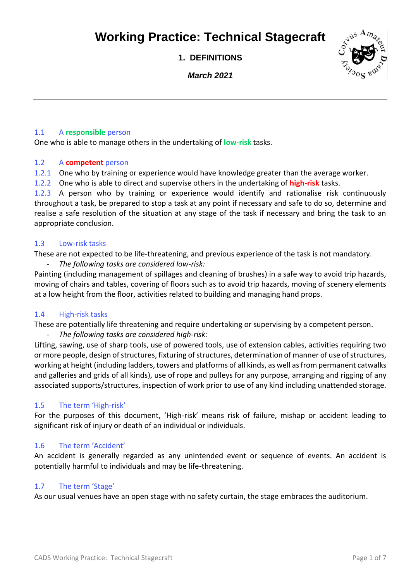**1. DEFINITIONS**

*March 2021*



### 1.1 A **responsible** person

One who is able to manage others in the undertaking of **low-risk** tasks.

#### 1.2 A **competent** person

- 1.2.1 One who by training or experience would have knowledge greater than the average worker.
- 1.2.2 One who is able to direct and supervise others in the undertaking of **high-risk** tasks.

1.2.3 A person who by training or experience would identify and rationalise risk continuously throughout a task, be prepared to stop a task at any point if necessary and safe to do so, determine and realise a safe resolution of the situation at any stage of the task if necessary and bring the task to an appropriate conclusion.

#### 1.3 Low-risk tasks

These are not expected to be life-threatening, and previous experience of the task is not mandatory. - *The following tasks are considered low-risk:*

Painting (including management of spillages and cleaning of brushes) in a safe way to avoid trip hazards, moving of chairs and tables, covering of floors such as to avoid trip hazards, moving of scenery elements at a low height from the floor, activities related to building and managing hand props.

#### 1.4 High-risk tasks

These are potentially life threatening and require undertaking or supervising by a competent person.

#### - *The following tasks are considered high-risk:*

Lifting, sawing, use of sharp tools, use of powered tools, use of extension cables, activities requiring two or more people, design of structures, fixturing of structures, determination of manner of use of structures, working at height (including ladders, towers and platforms of all kinds, as well as from permanent catwalks and galleries and grids of all kinds), use of rope and pulleys for any purpose, arranging and rigging of any associated supports/structures, inspection of work prior to use of any kind including unattended storage.

### 1.5 The term 'High-risk'

For the purposes of this document, 'High-risk' means risk of failure, mishap or accident leading to significant risk of injury or death of an individual or individuals.

#### 1.6 The term 'Accident'

An accident is generally regarded as any unintended event or sequence of events. An accident is potentially harmful to individuals and may be life-threatening.

### 1.7 The term 'Stage'

As our usual venues have an open stage with no safety curtain, the stage embraces the auditorium.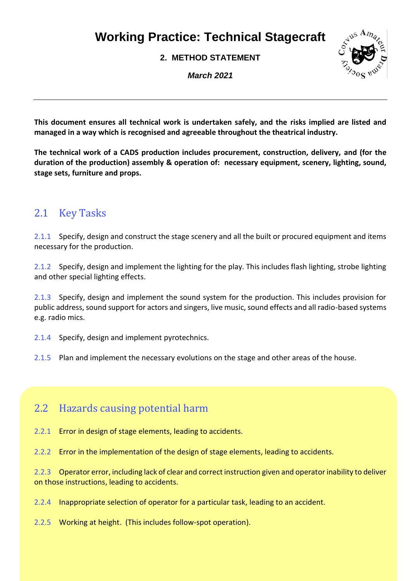**2. METHOD STATEMENT**

*March 2021*



**This document ensures all technical work is undertaken safely, and the risks implied are listed and managed in a way which is recognised and agreeable throughout the theatrical industry.**

**The technical work of a CADS production includes procurement, construction, delivery, and (for the duration of the production) assembly & operation of: necessary equipment, scenery, lighting, sound, stage sets, furniture and props.** 

## 2.1 Key Tasks

2.1.1 Specify, design and construct the stage scenery and all the built or procured equipment and items necessary for the production.

2.1.2 Specify, design and implement the lighting for the play. This includes flash lighting, strobe lighting and other special lighting effects.

2.1.3 Specify, design and implement the sound system for the production. This includes provision for public address, sound support for actors and singers, live music, sound effects and all radio-based systems e.g. radio mics.

2.1.4 Specify, design and implement pyrotechnics.

2.1.5 Plan and implement the necessary evolutions on the stage and other areas of the house.

## 2.2 Hazards causing potential harm

- 2.2.1 Error in design of stage elements, leading to accidents.
- 2.2.2 Error in the implementation of the design of stage elements, leading to accidents.

2.2.3 Operator error, including lack of clear and correct instruction given and operator inability to deliver on those instructions, leading to accidents.

- 2.2.4 Inappropriate selection of operator for a particular task, leading to an accident.
- 2.2.5 Working at height. (This includes follow-spot operation).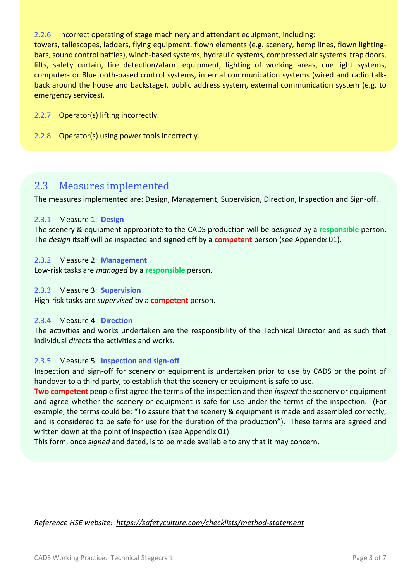2.2.6 Incorrect operating of stage machinery and attendant equipment, including:

towers, tallescopes, ladders, flying equipment, flown elements (e.g. scenery, hemp lines, flown lightingbars, sound control baffles), winch-based systems, hydraulic systems, compressed air systems, trap doors, lifts, safety curtain, fire detection/alarm equipment, lighting of working areas, cue light systems, computer- or Bluetooth-based control systems, internal communication systems (wired and radio talkback around the house and backstage), public address system, external communication system (e.g. to emergency services).

- 2.2.7 Operator(s) lifting incorrectly.
- 2.2.8 Operator(s) using power tools incorrectly.

### 2.3 Measures implemented

The measures implemented are: Design, Management, Supervision, Direction, Inspection and Sign-off.

#### 2.3.1 Measure 1: **Design**

The scenery & equipment appropriate to the CADS production will be *designed* by a **responsible** person. The *design* itself will be inspected and signed off by a **competent** person (see Appendix 01).

#### 2.3.2 Measure 2: **Management**

Low-risk tasks are *managed* by a **responsible** person.

#### 2.3.3 Measure 3: **Supervision**

High-risk tasks are *supervised* by a **competent** person.

#### 2.3.4 Measure 4: **Direction**

The activities and works undertaken are the responsibility of the Technical Director and as such that individual *directs* the activities and works.

#### 2.3.5 Measure 5: **Inspection and sign-off**

Inspection and sign-off for scenery or equipment is undertaken prior to use by CADS or the point of handover to a third party, to establish that the scenery or equipment is safe to use.

**Two competent** people first agree the terms of the inspection and then *inspect* the scenery or equipment and agree whether the scenery or equipment is safe for use under the terms of the inspection. (For example, the terms could be: "To assure that the scenery & equipment is made and assembled correctly, and is considered to be safe for use for the duration of the production"). These terms are agreed and written down at the point of inspection (see Appendix 01).

This form, once *signed* and dated, is to be made available to any that it may concern.

### *Reference HSE website: <https://safetyculture.com/checklists/method-statement>*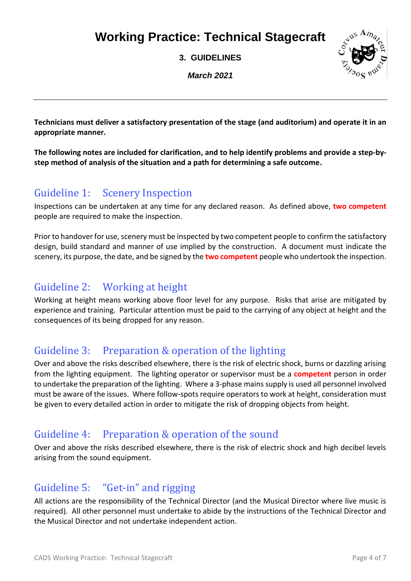**3. GUIDELINES**

*March 2021*



**Technicians must deliver a satisfactory presentation of the stage (and auditorium) and operate it in an appropriate manner.**

**The following notes are included for clarification, and to help identify problems and provide a step-bystep method of analysis of the situation and a path for determining a safe outcome.**

## Guideline 1: Scenery Inspection

Inspections can be undertaken at any time for any declared reason. As defined above, **two competent** people are required to make the inspection.

Prior to handover for use, scenery must be inspected by two competent people to confirm the satisfactory design, build standard and manner of use implied by the construction. A document must indicate the scenery, its purpose, the date, and be signed by the **two competent** people who undertook the inspection.

# Guideline 2: Working at height

Working at height means working above floor level for any purpose. Risks that arise are mitigated by experience and training. Particular attention must be paid to the carrying of any object at height and the consequences of its being dropped for any reason.

## Guideline 3: Preparation & operation of the lighting

Over and above the risks described elsewhere, there is the risk of electric shock, burns or dazzling arising from the lighting equipment. The lighting operator or supervisor must be a **competent** person in order to undertake the preparation of the lighting. Where a 3-phase mains supply is used all personnel involved must be aware of the issues. Where follow-spots require operators to work at height, consideration must be given to every detailed action in order to mitigate the risk of dropping objects from height.

### Guideline 4: Preparation & operation of the sound

Over and above the risks described elsewhere, there is the risk of electric shock and high decibel levels arising from the sound equipment.

# Guideline 5: "Get-in" and rigging

All actions are the responsibility of the Technical Director (and the Musical Director where live music is required). All other personnel must undertake to abide by the instructions of the Technical Director and the Musical Director and not undertake independent action.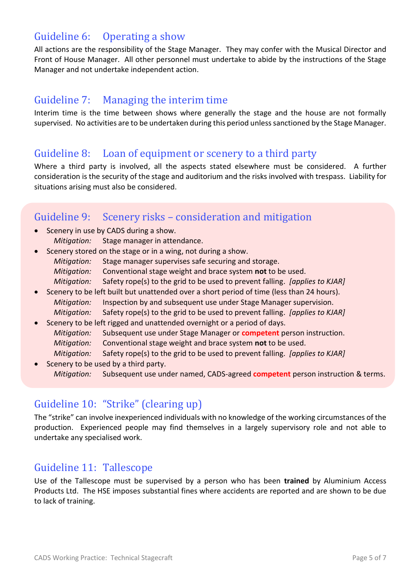## Guideline 6: Operating a show

All actions are the responsibility of the Stage Manager. They may confer with the Musical Director and Front of House Manager. All other personnel must undertake to abide by the instructions of the Stage Manager and not undertake independent action.

### Guideline 7: Managing the interim time

Interim time is the time between shows where generally the stage and the house are not formally supervised. No activities are to be undertaken during this period unless sanctioned by the Stage Manager.

### Guideline 8: Loan of equipment or scenery to a third party

Where a third party is involved, all the aspects stated elsewhere must be considered. A further consideration is the security of the stage and auditorium and the risks involved with trespass. Liability for situations arising must also be considered.

## Guideline 9: Scenery risks – consideration and mitigation

- Scenery in use by CADS during a show. *Mitigation:* Stage manager in attendance.
- Scenery stored on the stage or in a wing, not during a show. *Mitigation:* Stage manager supervises safe securing and storage. *Mitigation:* Conventional stage weight and brace system **not** to be used. *Mitigation:* Safety rope(s) to the grid to be used to prevent falling. *[applies to KJAR]*
- Scenery to be left built but unattended over a short period of time (less than 24 hours). *Mitigation:* Inspection by and subsequent use under Stage Manager supervision. *Mitigation:* Safety rope(s) to the grid to be used to prevent falling. *[applies to KJAR]*
- Scenery to be left rigged and unattended overnight or a period of days. *Mitigation:* Subsequent use under Stage Manager or **competent** person instruction. *Mitigation:* Conventional stage weight and brace system **not** to be used. *Mitigation:* Safety rope(s) to the grid to be used to prevent falling. *[applies to KJAR]*
- Scenery to be used by a third party. *Mitigation:* Subsequent use under named, CADS-agreed **competent** person instruction & terms.

### Guideline 10: "Strike" (clearing up)

The "strike" can involve inexperienced individuals with no knowledge of the working circumstances of the production. Experienced people may find themselves in a largely supervisory role and not able to undertake any specialised work.

### Guideline 11: Tallescope

Use of the Tallescope must be supervised by a person who has been **trained** by Aluminium Access Products Ltd. The HSE imposes substantial fines where accidents are reported and are shown to be due to lack of training.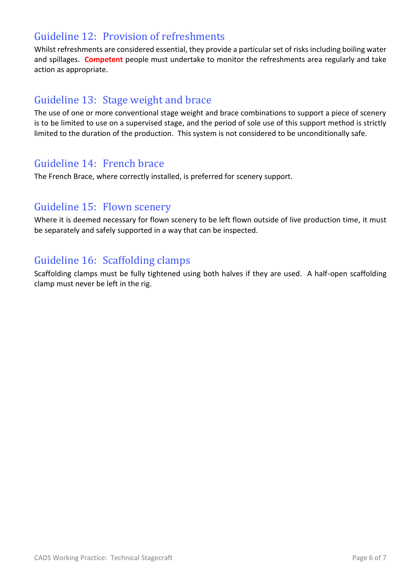# Guideline 12: Provision of refreshments

Whilst refreshments are considered essential, they provide a particular set of risks including boiling water and spillages. **Competent** people must undertake to monitor the refreshments area regularly and take action as appropriate.

### Guideline 13: Stage weight and brace

The use of one or more conventional stage weight and brace combinations to support a piece of scenery is to be limited to use on a supervised stage, and the period of sole use of this support method is strictly limited to the duration of the production. This system is not considered to be unconditionally safe.

### Guideline 14: French brace

The French Brace, where correctly installed, is preferred for scenery support.

### Guideline 15: Flown scenery

Where it is deemed necessary for flown scenery to be left flown outside of live production time, it must be separately and safely supported in a way that can be inspected.

# Guideline 16: Scaffolding clamps

Scaffolding clamps must be fully tightened using both halves if they are used. A half-open scaffolding clamp must never be left in the rig.